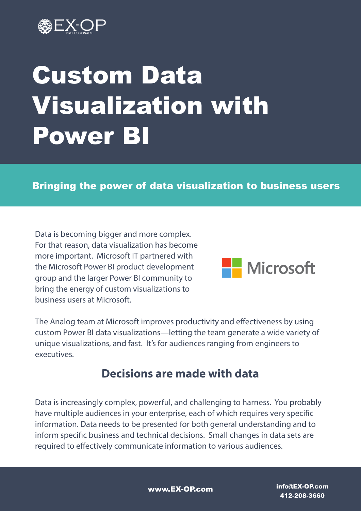

# Custom Data Visualization with Power BI

#### Bringing the power of data visualization to business users

Data is becoming bigger and more complex. For that reason, data visualization has become more important. Microsoft IT partnered with the Microsoft Power BI product development group and the larger Power BI community to bring the energy of custom visualizations to business users at Microsoft.



The Analog team at Microsoft improves productivity and effectiveness by using custom Power BI data visualizations—letting the team generate a wide variety of unique visualizations, and fast. It's for audiences ranging from engineers to executives.

## **Decisions are made with data**

Data is increasingly complex, powerful, and challenging to harness. You probably have multiple audiences in your enterprise, each of which requires very specific information. Data needs to be presented for both general understanding and to inform specific business and technical decisions. Small changes in data sets are required to effectively communicate information to various audiences.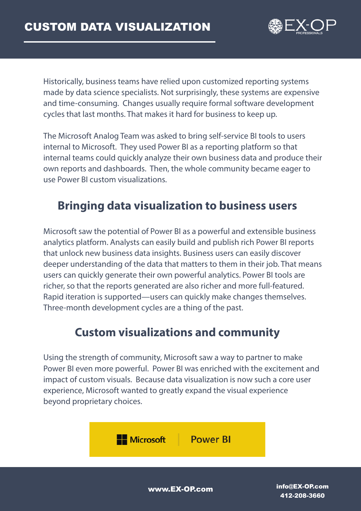

Historically, business teams have relied upon customized reporting systems made by data science specialists. Not surprisingly, these systems are expensive and time-consuming. Changes usually require formal software development cycles that last months. That makes it hard for business to keep up.

The Microsoft Analog Team was asked to bring self-service BI tools to users internal to Microsoft. They used Power BI as a reporting platform so that internal teams could quickly analyze their own business data and produce their own reports and dashboards. Then, the whole community became eager to use Power BI custom visualizations.

# **Bringing data visualization to business users**

Microsoft saw the potential of Power BI as a powerful and extensible business analytics platform. Analysts can easily build and publish rich Power BI reports that unlock new business data insights. Business users can easily discover deeper understanding of the data that matters to them in their job. That means users can quickly generate their own powerful analytics. Power BI tools are richer, so that the reports generated are also richer and more full-featured. Rapid iteration is supported—users can quickly make changes themselves. Three-month development cycles are a thing of the past.

# **Custom visualizations and community**

Using the strength of community, Microsoft saw a way to partner to make Power BI even more powerful. Power BI was enriched with the excitement and impact of custom visuals. Because data visualization is now such a core user experience, Microsoft wanted to greatly expand the visual experience beyond proprietary choices.

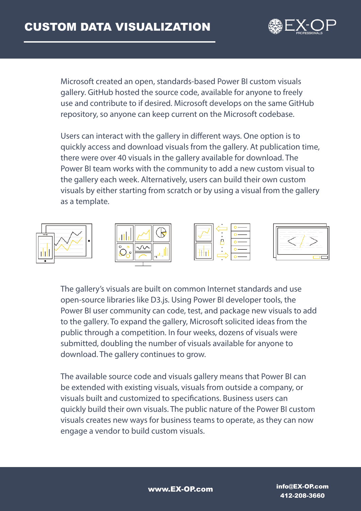

Microsoft created an open, standards-based Power BI custom visuals gallery. GitHub hosted the source code, available for anyone to freely use and contribute to if desired. Microsoft develops on the same GitHub repository, so anyone can keep current on the Microsoft codebase.

Users can interact with the gallery in different ways. One option is to quickly access and download visuals from the gallery. At publication time, there were over 40 visuals in the gallery available for download. The Power BI team works with the community to add a new custom visual to the gallery each week. Alternatively, users can build their own custom visuals by either starting from scratch or by using a visual from the gallery as a template.



The gallery's visuals are built on common Internet standards and use open-source libraries like D3.js. Using Power BI developer tools, the Power BI user community can code, test, and package new visuals to add to the gallery. To expand the gallery, Microsoft solicited ideas from the public through a competition. In four weeks, dozens of visuals were submitted, doubling the number of visuals available for anyone to download. The gallery continues to grow.

The available source code and visuals gallery means that Power BI can be extended with existing visuals, visuals from outside a company, or visuals built and customized to specifications. Business users can quickly build their own visuals. The public nature of the Power BI custom visuals creates new ways for business teams to operate, as they can now engage a vendor to build custom visuals.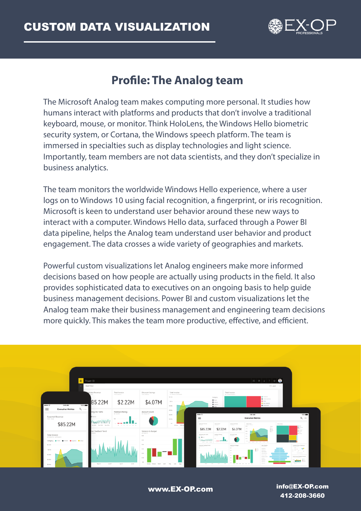

# **Profile: The Analog team**

The Microsoft Analog team makes computing more personal. It studies how humans interact with platforms and products that don't involve a traditional keyboard, mouse, or monitor. Think HoloLens, the Windows Hello biometric security system, or Cortana, the Windows speech platform. The team is immersed in specialties such as display technologies and light science. Importantly, team members are not data scientists, and they don't specialize in business analytics.

The team monitors the worldwide Windows Hello experience, where a user logs on to Windows 10 using facial recognition, a fingerprint, or iris recognition. Microsoft is keen to understand user behavior around these new ways to interact with a computer. Windows Hello data, surfaced through a Power BI data pipeline, helps the Analog team understand user behavior and product engagement. The data crosses a wide variety of geographies and markets.

Powerful custom visualizations let Analog engineers make more informed decisions based on how people are actually using products in the field. It also provides sophisticated data to executives on an ongoing basis to help guide business management decisions. Power BI and custom visualizations let the Analog team make their business management and engineering team decisions more quickly. This makes the team more productive, effective, and efficient.

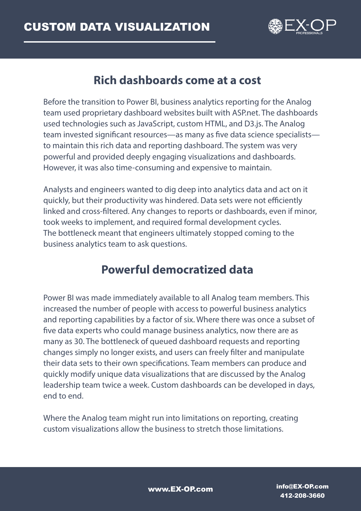

### **Rich dashboards come at a cost**

Before the transition to Power BI, business analytics reporting for the Analog team used proprietary dashboard websites built with ASP.net. The dashboards used technologies such as JavaScript, custom HTML, and D3.js. The Analog team invested significant resources—as many as five data science specialists to maintain this rich data and reporting dashboard. The system was very powerful and provided deeply engaging visualizations and dashboards. However, it was also time-consuming and expensive to maintain.

Analysts and engineers wanted to dig deep into analytics data and act on it quickly, but their productivity was hindered. Data sets were not efficiently linked and cross-filtered. Any changes to reports or dashboards, even if minor, took weeks to implement, and required formal development cycles. The bottleneck meant that engineers ultimately stopped coming to the business analytics team to ask questions.

## **Powerful democratized data**

Power BI was made immediately available to all Analog team members. This increased the number of people with access to powerful business analytics and reporting capabilities by a factor of six. Where there was once a subset of five data experts who could manage business analytics, now there are as many as 30. The bottleneck of queued dashboard requests and reporting changes simply no longer exists, and users can freely filter and manipulate their data sets to their own specifications. Team members can produce and quickly modify unique data visualizations that are discussed by the Analog leadership team twice a week. Custom dashboards can be developed in days, end to end.

Where the Analog team might run into limitations on reporting, creating custom visualizations allow the business to stretch those limitations.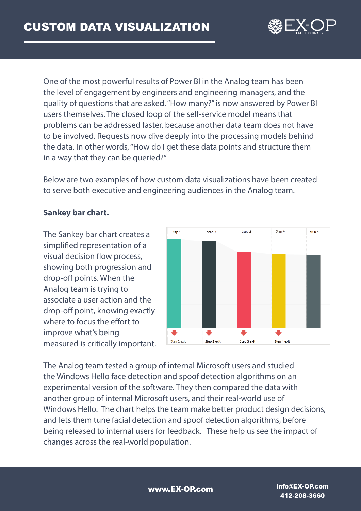

One of the most powerful results of Power BI in the Analog team has been the level of engagement by engineers and engineering managers, and the quality of questions that are asked. "How many?" is now answered by Power BI users themselves. The closed loop of the self-service model means that problems can be addressed faster, because another data team does not have to be involved. Requests now dive deeply into the processing models behind the data. In other words, "How do I get these data points and structure them in a way that they can be queried?"

Below are two examples of how custom data visualizations have been created to serve both executive and engineering audiences in the Analog team.

#### **Sankey bar chart.**

The Sankey bar chart creates a simplified representation of a visual decision flow process, showing both progression and drop-off points. When the Analog team is trying to associate a user action and the drop-off point, knowing exactly where to focus the effort to improve what's being measured is critically important.



The Analog team tested a group of internal Microsoft users and studied the Windows Hello face detection and spoof detection algorithms on an experimental version of the software. They then compared the data with another group of internal Microsoft users, and their real-world use of Windows Hello. The chart helps the team make better product design decisions, and lets them tune facial detection and spoof detection algorithms, before being released to internal users for feedback. These help us see the impact of changes across the real-world population.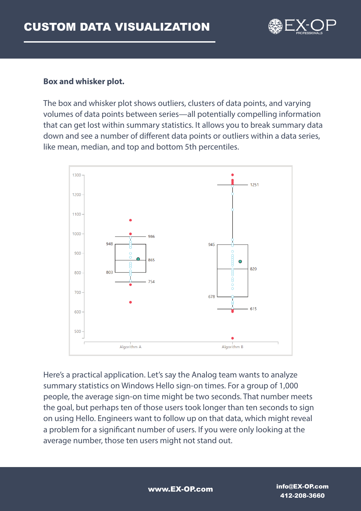

#### **Box and whisker plot.**

The box and whisker plot shows outliers, clusters of data points, and varying volumes of data points between series—all potentially compelling information that can get lost within summary statistics. It allows you to break summary data down and see a number of different data points or outliers within a data series, like mean, median, and top and bottom 5th percentiles.



Here's a practical application. Let's say the Analog team wants to analyze summary statistics on Windows Hello sign-on times. For a group of 1,000 people, the average sign-on time might be two seconds. That number meets the goal, but perhaps ten of those users took longer than ten seconds to sign on using Hello. Engineers want to follow up on that data, which might reveal a problem for a significant number of users. If you were only looking at the average number, those ten users might not stand out.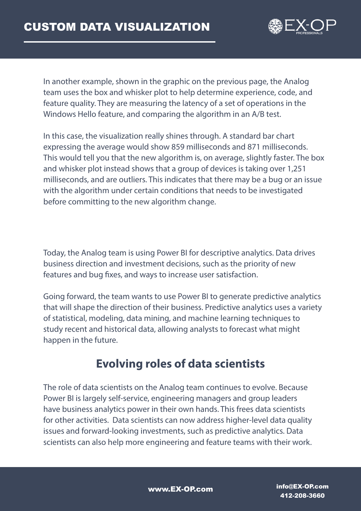

In another example, shown in the graphic on the previous page, the Analog team uses the box and whisker plot to help determine experience, code, and feature quality. They are measuring the latency of a set of operations in the Windows Hello feature, and comparing the algorithm in an A/B test.

In this case, the visualization really shines through. A standard bar chart expressing the average would show 859 milliseconds and 871 milliseconds. This would tell you that the new algorithm is, on average, slightly faster. The box and whisker plot instead shows that a group of devices is taking over 1,251 milliseconds, and are outliers. This indicates that there may be a bug or an issue with the algorithm under certain conditions that needs to be investigated before committing to the new algorithm change.

Today, the Analog team is using Power BI for descriptive analytics. Data drives business direction and investment decisions, such as the priority of new features and bug fixes, and ways to increase user satisfaction.

Going forward, the team wants to use Power BI to generate predictive analytics that will shape the direction of their business. Predictive analytics uses a variety of statistical, modeling, data mining, and machine learning techniques to study recent and historical data, allowing analysts to forecast what might happen in the future.

# **Evolving roles of data scientists**

The role of data scientists on the Analog team continues to evolve. Because Power BI is largely self-service, engineering managers and group leaders have business analytics power in their own hands. This frees data scientists for other activities. Data scientists can now address higher-level data quality issues and forward-looking investments, such as predictive analytics. Data scientists can also help more engineering and feature teams with their work.